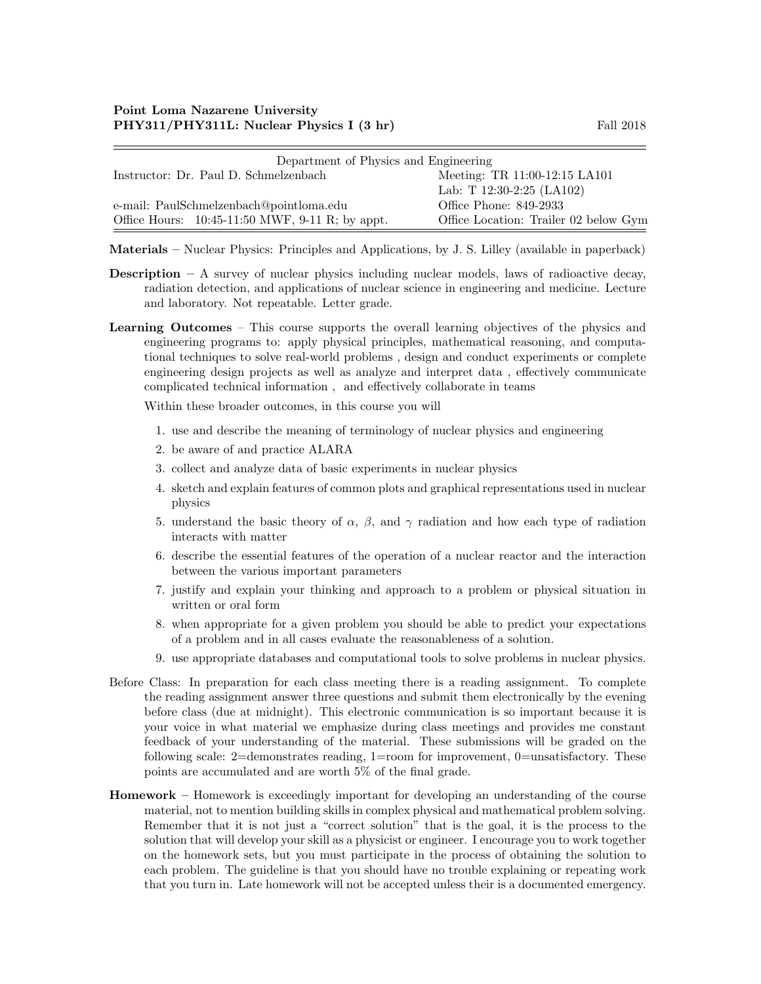| Department of Physics and Engineering             |                                       |  |  |
|---------------------------------------------------|---------------------------------------|--|--|
| Instructor: Dr. Paul D. Schmelzenbach             | Meeting: TR 11:00-12:15 LA101         |  |  |
|                                                   | Lab: T 12:30-2:25 (LA102)             |  |  |
| e-mail: PaulSchmelzenbach@pointloma.edu           | Office Phone: 849-2933                |  |  |
| Office Hours: $10:45-11:50$ MWF, 9-11 R; by appt. | Office Location: Trailer 02 below Gym |  |  |

Materials – Nuclear Physics: Principles and Applications, by J. S. Lilley (available in paperback)

- **Description** A survey of nuclear physics including nuclear models, laws of radioactive decay, radiation detection, and applications of nuclear science in engineering and medicine. Lecture and laboratory. Not repeatable. Letter grade.
- Learning Outcomes This course supports the overall learning objectives of the physics and engineering programs to: apply physical principles, mathematical reasoning, and computational techniques to solve real-world problems , design and conduct experiments or complete engineering design projects as well as analyze and interpret data , effectively communicate complicated technical information , and effectively collaborate in teams

Within these broader outcomes, in this course you will

- 1. use and describe the meaning of terminology of nuclear physics and engineering
- 2. be aware of and practice ALARA
- 3. collect and analyze data of basic experiments in nuclear physics
- 4. sketch and explain features of common plots and graphical representations used in nuclear physics
- 5. understand the basic theory of  $\alpha$ ,  $\beta$ , and  $\gamma$  radiation and how each type of radiation interacts with matter
- 6. describe the essential features of the operation of a nuclear reactor and the interaction between the various important parameters
- 7. justify and explain your thinking and approach to a problem or physical situation in written or oral form
- 8. when appropriate for a given problem you should be able to predict your expectations of a problem and in all cases evaluate the reasonableness of a solution.
- 9. use appropriate databases and computational tools to solve problems in nuclear physics.
- Before Class: In preparation for each class meeting there is a reading assignment. To complete the reading assignment answer three questions and submit them electronically by the evening before class (due at midnight). This electronic communication is so important because it is your voice in what material we emphasize during class meetings and provides me constant feedback of your understanding of the material. These submissions will be graded on the following scale: 2=demonstrates reading, 1=room for improvement, 0=unsatisfactory. These points are accumulated and are worth 5% of the final grade.
- Homework Homework is exceedingly important for developing an understanding of the course material, not to mention building skills in complex physical and mathematical problem solving. Remember that it is not just a "correct solution" that is the goal, it is the process to the solution that will develop your skill as a physicist or engineer. I encourage you to work together on the homework sets, but you must participate in the process of obtaining the solution to each problem. The guideline is that you should have no trouble explaining or repeating work that you turn in. Late homework will not be accepted unless their is a documented emergency.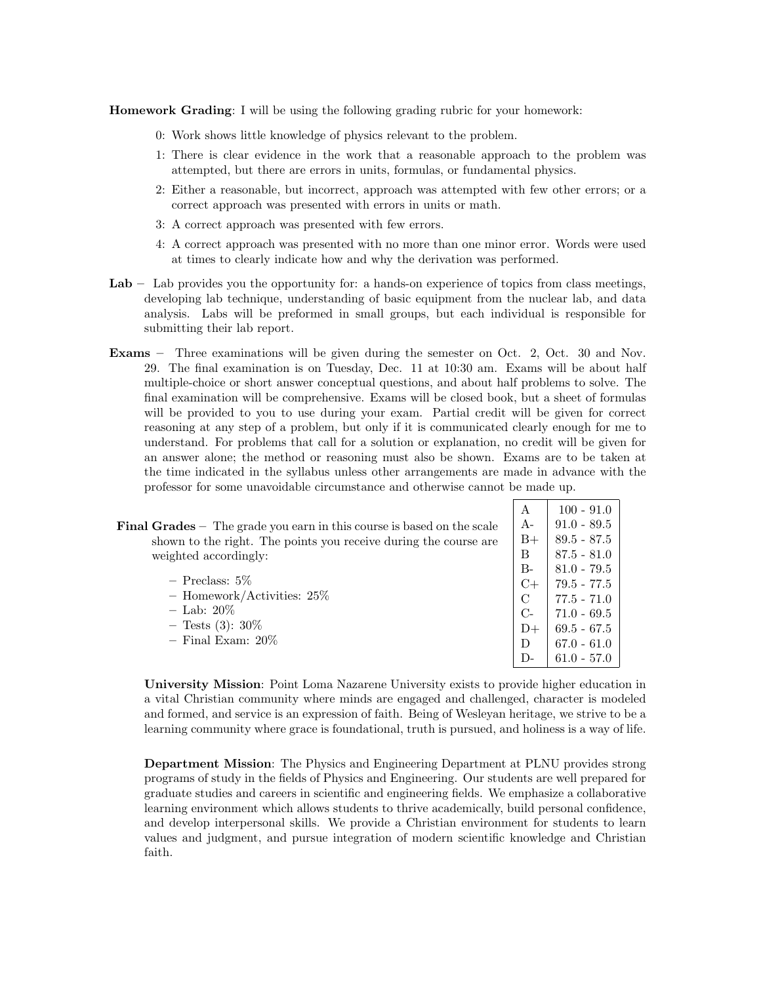Homework Grading: I will be using the following grading rubric for your homework:

- 0: Work shows little knowledge of physics relevant to the problem.
- 1: There is clear evidence in the work that a reasonable approach to the problem was attempted, but there are errors in units, formulas, or fundamental physics.
- 2: Either a reasonable, but incorrect, approach was attempted with few other errors; or a correct approach was presented with errors in units or math.
- 3: A correct approach was presented with few errors.
- 4: A correct approach was presented with no more than one minor error. Words were used at times to clearly indicate how and why the derivation was performed.
- Lab Lab provides you the opportunity for: a hands-on experience of topics from class meetings, developing lab technique, understanding of basic equipment from the nuclear lab, and data analysis. Labs will be preformed in small groups, but each individual is responsible for submitting their lab report.
- Exams Three examinations will be given during the semester on Oct. 2, Oct. 30 and Nov. 29. The final examination is on Tuesday, Dec. 11 at 10:30 am. Exams will be about half multiple-choice or short answer conceptual questions, and about half problems to solve. The final examination will be comprehensive. Exams will be closed book, but a sheet of formulas will be provided to you to use during your exam. Partial credit will be given for correct reasoning at any step of a problem, but only if it is communicated clearly enough for me to understand. For problems that call for a solution or explanation, no credit will be given for an answer alone; the method or reasoning must also be shown. Exams are to be taken at the time indicated in the syllabus unless other arrangements are made in advance with the professor for some unavoidable circumstance and otherwise cannot be made up.

|                                                                                 | А     | $100 - 91.0$  |
|---------------------------------------------------------------------------------|-------|---------------|
| <b>Final Grades</b> $-$ The grade you earn in this course is based on the scale | $A-$  | $91.0 - 89.5$ |
| shown to the right. The points you receive during the course are                | $B+$  | $89.5 - 87.5$ |
| weighted accordingly:                                                           | B     | $87.5 - 81.0$ |
|                                                                                 | $B-$  | $81.0 - 79.5$ |
| $-$ Preclass: 5\%                                                               | $C+$  | 79.5 - 77.5   |
| - Homework/Activities: $25\%$                                                   | C     | $77.5 - 71.0$ |
| $-$ Lab: 20%                                                                    | $C$ - | $71.0 - 69.5$ |
| $-$ Tests (3): 30\%                                                             | $D+$  | $69.5 - 67.5$ |
| $-$ Final Exam: $20\%$                                                          | D     | $67.0 - 61.0$ |
|                                                                                 | $D-$  | $61.0 - 57.0$ |

University Mission: Point Loma Nazarene University exists to provide higher education in a vital Christian community where minds are engaged and challenged, character is modeled and formed, and service is an expression of faith. Being of Wesleyan heritage, we strive to be a learning community where grace is foundational, truth is pursued, and holiness is a way of life.

Department Mission: The Physics and Engineering Department at PLNU provides strong programs of study in the fields of Physics and Engineering. Our students are well prepared for graduate studies and careers in scientific and engineering fields. We emphasize a collaborative learning environment which allows students to thrive academically, build personal confidence, and develop interpersonal skills. We provide a Christian environment for students to learn values and judgment, and pursue integration of modern scientific knowledge and Christian faith.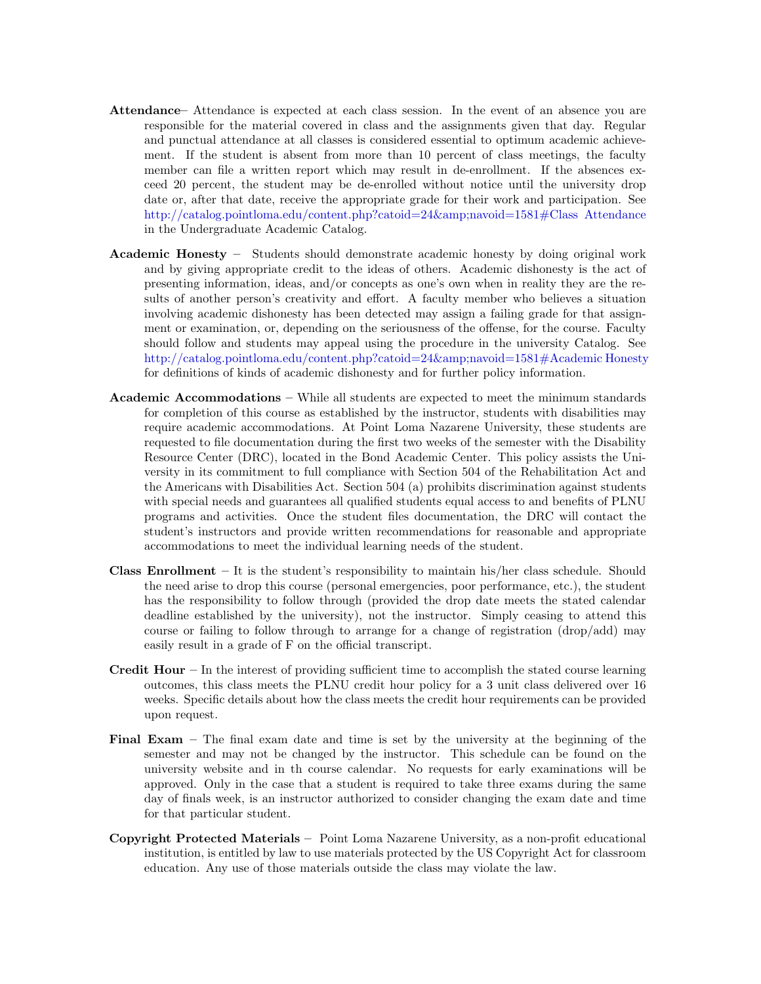- Attendance– Attendance is expected at each class session. In the event of an absence you are responsible for the material covered in class and the assignments given that day. Regular and punctual attendance at all classes is considered essential to optimum academic achievement. If the student is absent from more than 10 percent of class meetings, the faculty member can file a written report which may result in de-enrollment. If the absences exceed 20 percent, the student may be de-enrolled without notice until the university drop date or, after that date, receive the appropriate grade for their work and participation. See [http://catalog.pointloma.edu/content.php?catoid=24&navoid=1581#Class Attendance](http://catalog.pointloma.edu/content.php?catoid=24&navoid=1581) in the Undergraduate Academic Catalog.
- Academic Honesty Students should demonstrate academic honesty by doing original work and by giving appropriate credit to the ideas of others. Academic dishonesty is the act of presenting information, ideas, and/or concepts as one's own when in reality they are the results of another person's creativity and effort. A faculty member who believes a situation involving academic dishonesty has been detected may assign a failing grade for that assignment or examination, or, depending on the seriousness of the offense, for the course. Faculty should follow and students may appeal using the procedure in the university Catalog. See [http://catalog.pointloma.edu/content.php?catoid=24&navoid=1581#Academic Honesty](http://catalog.pointloma.edu/content.php?catoid=24&navoid=1581) for definitions of kinds of academic dishonesty and for further policy information.
- Academic Accommodations While all students are expected to meet the minimum standards for completion of this course as established by the instructor, students with disabilities may require academic accommodations. At Point Loma Nazarene University, these students are requested to file documentation during the first two weeks of the semester with the Disability Resource Center (DRC), located in the Bond Academic Center. This policy assists the University in its commitment to full compliance with Section 504 of the Rehabilitation Act and the Americans with Disabilities Act. Section 504 (a) prohibits discrimination against students with special needs and guarantees all qualified students equal access to and benefits of PLNU programs and activities. Once the student files documentation, the DRC will contact the student's instructors and provide written recommendations for reasonable and appropriate accommodations to meet the individual learning needs of the student.
- **Class Enrollment** It is the student's responsibility to maintain his/her class schedule. Should the need arise to drop this course (personal emergencies, poor performance, etc.), the student has the responsibility to follow through (provided the drop date meets the stated calendar deadline established by the university), not the instructor. Simply ceasing to attend this course or failing to follow through to arrange for a change of registration (drop/add) may easily result in a grade of F on the official transcript.
- **Credit Hour** In the interest of providing sufficient time to accomplish the stated course learning outcomes, this class meets the PLNU credit hour policy for a 3 unit class delivered over 16 weeks. Specific details about how the class meets the credit hour requirements can be provided upon request.
- Final Exam The final exam date and time is set by the university at the beginning of the semester and may not be changed by the instructor. This schedule can be found on the university website and in th course calendar. No requests for early examinations will be approved. Only in the case that a student is required to take three exams during the same day of finals week, is an instructor authorized to consider changing the exam date and time for that particular student.
- Copyright Protected Materials Point Loma Nazarene University, as a non-profit educational institution, is entitled by law to use materials protected by the US Copyright Act for classroom education. Any use of those materials outside the class may violate the law.